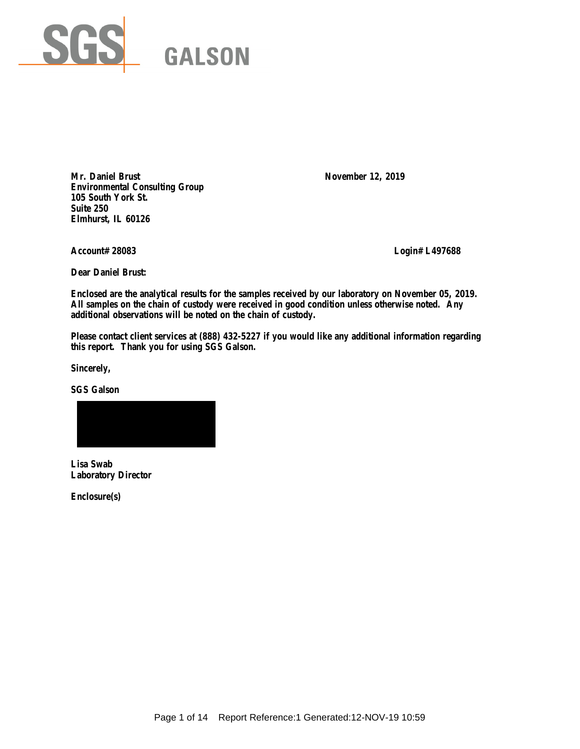

Mr. Daniel Brust November 12, 2019 **Environmental Consulting Group 105 South York St. Suite 250 Elmhurst, IL 60126**

**Account# 28083 Login# L497688**

**Dear Daniel Brust:**

**Enclosed are the analytical results for the samples received by our laboratory on November 05, 2019. All samples on the chain of custody were received in good condition unless otherwise noted. Any additional observations will be noted on the chain of custody.** 

**Please contact client services at (888) 432-5227 if you would like any additional information regarding this report. Thank you for using SGS Galson.**

**Sincerely,**

**SGS Galson**



**Lisa Swab Laboratory Director**

**Enclosure(s)**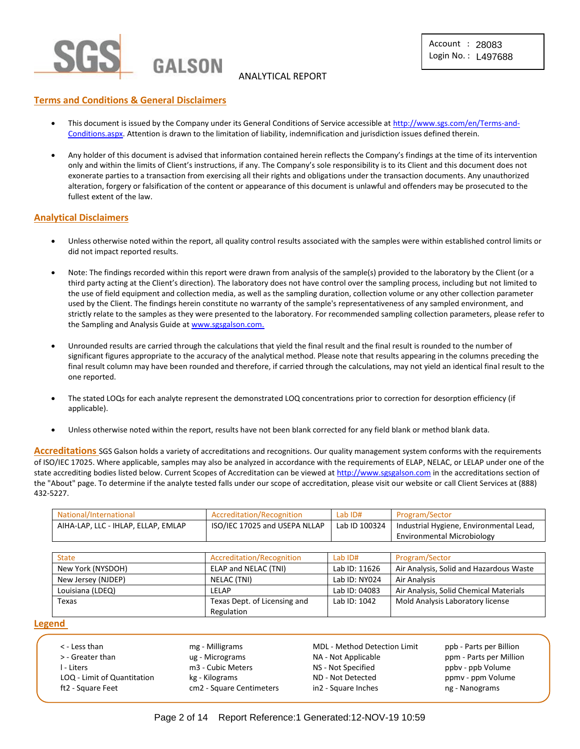

## ANALYTICAL REPORT

### **Terms and Conditions & General Disclaimers**

- This document is issued by the Company under its General Conditions of Service accessible at [http://www.sgs.com/en/Terms-and-](http://www.sgs.com/en/Terms-and-Conditions.aspx)[Conditions.aspx.](http://www.sgs.com/en/Terms-and-Conditions.aspx) Attention is drawn to the limitation of liability, indemnification and jurisdiction issues defined therein.
- Any holder of this document is advised that information contained herein reflects the Company's findings at the time of its intervention only and within the limits of Client's instructions, if any. The Company's sole responsibility is to its Client and this document does not exonerate parties to a transaction from exercising all their rights and obligations under the transaction documents. Any unauthorized alteration, forgery or falsification of the content or appearance of this document is unlawful and offenders may be prosecuted to the fullest extent of the law.

#### **Analytical Disclaimers**

- Unless otherwise noted within the report, all quality control results associated with the samples were within established control limits or did not impact reported results.
- Note: The findings recorded within this report were drawn from analysis of the sample(s) provided to the laboratory by the Client (or a third party acting at the Client's direction). The laboratory does not have control over the sampling process, including but not limited to the use of field equipment and collection media, as well as the sampling duration, collection volume or any other collection parameter used by the Client. The findings herein constitute no warranty of the sample's representativeness of any sampled environment, and strictly relate to the samples as they were presented to the laboratory. For recommended sampling collection parameters, please refer to the Sampling and Analysis Guide a[t www.sgsgalson.com.](http://www.sgsgalson.com/)
- Unrounded results are carried through the calculations that yield the final result and the final result is rounded to the number of significant figures appropriate to the accuracy of the analytical method. Please note that results appearing in the columns preceding the final result column may have been rounded and therefore, if carried through the calculations, may not yield an identical final result to the one reported.
- The stated LOQs for each analyte represent the demonstrated LOQ concentrations prior to correction for desorption efficiency (if applicable).
- Unless otherwise noted within the report, results have not been blank corrected for any field blank or method blank data.

**Accreditations** SGS Galson holds a variety of accreditations and recognitions. Our quality management system conforms with the requirements of ISO/IEC 17025. Where applicable, samples may also be analyzed in accordance with the requirements of ELAP, NELAC, or LELAP under one of the state accrediting bodies listed below. Current Scopes of Accreditation can be viewed a[t http://www.sgsgalson.com](http://www.sgsgalson.com/) in the accreditations section of the "About" page. To determine if the analyte tested falls under our scope of accreditation, please visit our website or call Client Services at (888) 432-5227.

| National/International                                               | Accreditation/Recognition | Lab ID#       | Program/Sector                          |
|----------------------------------------------------------------------|---------------------------|---------------|-----------------------------------------|
| ISO/IEC 17025 and USEPA NLLAP<br>AIHA-LAP, LLC - IHLAP, ELLAP, EMLAP |                           | Lab ID 100324 | Industrial Hygiene, Environmental Lead, |
|                                                                      |                           |               | Environmental Microbiology              |

| <b>State</b>       | Accreditation/Recognition    | Lab $ID#$     | Program/Sector                          |
|--------------------|------------------------------|---------------|-----------------------------------------|
| New York (NYSDOH)  | ELAP and NELAC (TNI)         | Lab ID: 11626 | Air Analysis, Solid and Hazardous Waste |
| New Jersey (NJDEP) | NELAC (TNI)                  | Lab ID: NY024 | Air Analysis                            |
| Louisiana (LDEQ)   | LELAP                        | Lab ID: 04083 | Air Analysis, Solid Chemical Materials  |
| Texas              | Texas Dept. of Licensing and | Lab ID: 1042  | Mold Analysis Laboratory license        |
|                    | Regulation                   |               |                                         |

#### **Legend**

| < - Less than               | mg - Milligrams          | <b>MDL - Method Detection Limit</b> | ppb - Parts per Billion |
|-----------------------------|--------------------------|-------------------------------------|-------------------------|
| > - Greater than            | ug - Micrograms          | NA - Not Applicable                 | ppm - Parts per Million |
| - Liters                    | m3 - Cubic Meters        | NS - Not Specified                  | ppby - ppb Volume       |
| LOQ - Limit of Quantitation | kg - Kilograms           | ND - Not Detected                   | ppmy - ppm Volume       |
| ft2 - Square Feet           | cm2 - Square Centimeters | in2 - Square Inches                 | ng - Nanograms          |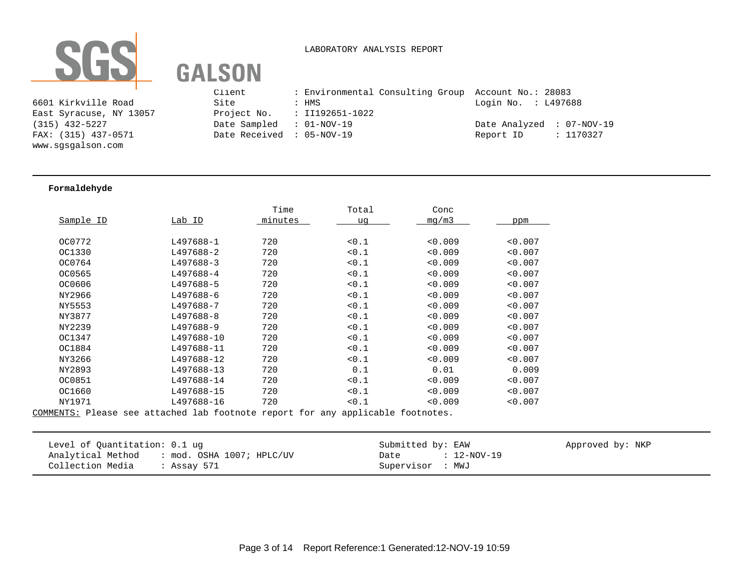

#### LABORATORY ANALYSIS REPORT

|                         | Client                    | : Environmental Consulting Group Account No.: 28083 |                           |  |
|-------------------------|---------------------------|-----------------------------------------------------|---------------------------|--|
| 6601 Kirkville Road     | Site                      | : HMS                                               | Login No. : L497688       |  |
| East Syracuse, NY 13057 |                           | Project No. : II192651-1022                         |                           |  |
| (315) 432-5227          | Date Sampled : 01-NOV-19  |                                                     | Date Analyzed : 07-NOV-19 |  |
| FAX: (315) 437-0571     | Date Received : 05-NOV-19 |                                                     | Report ID : 1170327       |  |
| www.cocoalcon.com       |                           |                                                     |                           |  |

#### **Formaldehyde**

www.sgsgalson.com

|           |            | Time    | Total | Conc    |         |
|-----------|------------|---------|-------|---------|---------|
| Sample ID | Lab ID     | minutes | uq    | mq/m3   | ppm     |
|           |            |         |       |         |         |
| OC0772    | L497688-1  | 720     | 0.1   | < 0.009 | < 0.007 |
| OC1330    | L497688-2  | 720     | 0.1   | < 0.009 | < 0.007 |
| OC0764    | L497688-3  | 720     | 0.1   | < 0.009 | < 0.007 |
| OC0565    | L497688-4  | 720     | 0.1   | < 0.009 | < 0.007 |
| OC0606    | L497688-5  | 720     | 0.1   | < 0.009 | < 0.007 |
| NY2966    | L497688-6  | 720     | 0.1   | < 0.009 | < 0.007 |
| NY5553    | L497688-7  | 720     | 0.1   | < 0.009 | < 0.007 |
| NY3877    | L497688-8  | 720     | 0.1   | 0.009   | < 0.007 |
| NY2239    | L497688-9  | 720     | 0.1   | 0.009   | < 0.007 |
| OC1347    | L497688-10 | 720     | 0.1   | < 0.009 | < 0.007 |
| OC1884    | L497688-11 | 720     | 10.1  | < 0.009 | < 0.007 |
| NY3266    | L497688-12 | 720     | < 0.1 | < 0.009 | < 0.007 |
| NY2893    | L497688-13 | 720     | 0.1   | 0.01    | 0.009   |
| OC0851    | L497688-14 | 720     | 10.1  | < 0.009 | < 0.007 |
| OC1660    | L497688-15 | 720     | 0.1   | < 0.009 | < 0.007 |
| NY1971    | L497688-16 | 720     | < 0.1 | < 0.009 | < 0.007 |
|           |            |         |       |         |         |

| Level of Quantitation: 0.1 ug                  | Submitted by: EAW   | Approved by: NKP |
|------------------------------------------------|---------------------|------------------|
| Analytical Method<br>: mod. OSHA 1007; HPLC/UV | : 12-NOV-19<br>Date |                  |
| Collection Media<br>: Assay 571                | Supervisor : MWJ    |                  |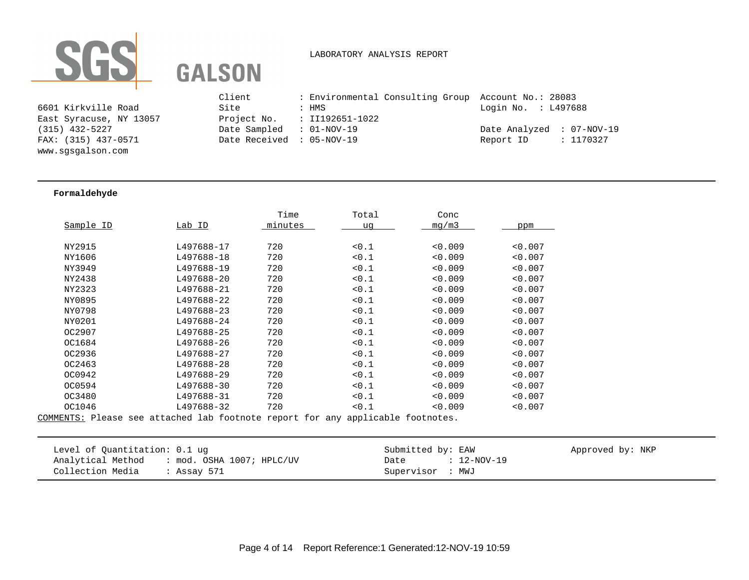

#### LABORATORY ANALYSIS REPORT

6601 Kirkville Road East Syracuse, NY 13057 www.sgsgalson.com

|                         | Client                    | : Environmental Consulting Group Account No.: 28083 |                           |
|-------------------------|---------------------------|-----------------------------------------------------|---------------------------|
| 6601 Kirkville Road     | Site                      | : HMS                                               | Login No. : L497688       |
| East Syracuse, NY 13057 |                           | Project No. : II192651-1022                         |                           |
| (315) 432-5227          | Date Sampled : 01-NOV-19  |                                                     | Date Analyzed : 07-NOV-19 |
| FAX: (315) 437-0571     | Date Received : 05-NOV-19 |                                                     | : 1170327<br>Report ID    |
|                         |                           |                                                     |                           |

#### **Formaldehyde**

|           |            | Time    | Total | Conc    |         |
|-----------|------------|---------|-------|---------|---------|
| Sample ID | Lab ID     | minutes | uq    | mq/m3   | ppm     |
|           |            |         |       |         |         |
| NY2915    | L497688-17 | 720     | 0.1   | < 0.009 | < 0.007 |
| NY1606    | L497688-18 | 720     | 0.1   | < 0.009 | < 0.007 |
| NY3949    | L497688-19 | 720     | 0.1   | < 0.009 | < 0.007 |
| NY2438    | L497688-20 | 720     | < 0.1 | < 0.009 | < 0.007 |
| NY2323    | L497688-21 | 720     | 0.1   | < 0.009 | < 0.007 |
| NY0895    | L497688-22 | 720     | 0.1   | < 0.009 | < 0.007 |
| NY0798    | L497688-23 | 720     | < 0.1 | < 0.009 | < 0.007 |
| NY0201    | L497688-24 | 720     | 0.1   | < 0.009 | < 0.007 |
| OC2907    | L497688-25 | 720     | < 0.1 | < 0.009 | < 0.007 |
| OC1684    | L497688-26 | 720     | 0.1   | < 0.009 | < 0.007 |
| OC2936    | L497688-27 | 720     | 0.1   | < 0.009 | < 0.007 |
| OC2463    | L497688-28 | 720     | 0.1   | < 0.009 | < 0.007 |
| OC0942    | L497688-29 | 720     | 0.1   | < 0.009 | < 0.007 |
| OC0594    | L497688-30 | 720     | 0.1   | < 0.009 | < 0.007 |
| OC3480    | L497688-31 | 720     | 0.1   | < 0.009 | < 0.007 |
| OC1046    | L497688-32 | 720     | 0.1   | < 0.009 | < 0.007 |
|           |            |         |       |         |         |

| Level of Ouantitation: 0.1 ug               | Submitted by: EAW   | Approved by: NKP |
|---------------------------------------------|---------------------|------------------|
| Analytical Method : mod. OSHA 1007; HPLC/UV | : 12-NOV-19<br>Date |                  |
| Collection Media<br>. Assay 571             | Supervisor : MWJ    |                  |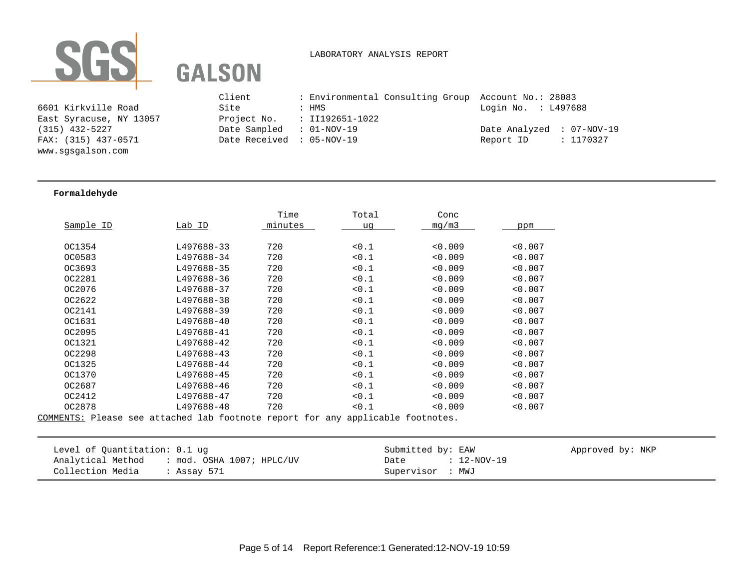

LABORATORY ANALYSIS REPORT

6601 Kirkville Road East Syracuse, NY 13057 www.sgsgalson.com

|                         | Client                    | : Environmental Consulting Group Account No.: 28083 |                           |
|-------------------------|---------------------------|-----------------------------------------------------|---------------------------|
| 6601 Kirkville Road     | Site                      | : HMS                                               | Login No. : L497688       |
| East Syracuse, NY 13057 |                           | Project No. : II192651-1022                         |                           |
| (315) 432-5227          | Date Sampled : 01-NOV-19  |                                                     | Date Analyzed : 07-NOV-19 |
| FAX: (315) 437-0571     | Date Received : 05-NOV-19 |                                                     | : 1170327<br>Report ID    |
|                         |                           |                                                     |                           |

#### **Formaldehyde**

|           |            | Time    | Total | Conc    |         |
|-----------|------------|---------|-------|---------|---------|
| Sample ID | Lab ID     | minutes | uq    | mq/m3   | ppm     |
|           |            |         |       |         |         |
| OC1354    | L497688-33 | 720     | < 0.1 | < 0.009 | < 0.007 |
| OC0583    | L497688-34 | 720     | 0.1   | < 0.009 | < 0.007 |
| OC3693    | L497688-35 | 720     | 0.1   | < 0.009 | < 0.007 |
| OC2281    | L497688-36 | 720     | < 0.1 | < 0.009 | < 0.007 |
| OC2076    | L497688-37 | 720     | 0.1   | < 0.009 | < 0.007 |
| OC2622    | L497688-38 | 720     | 0.1   | < 0.009 | < 0.007 |
| OC2141    | L497688-39 | 720     | < 0.1 | < 0.009 | < 0.007 |
| OC1631    | L497688-40 | 720     | 0.1   | < 0.009 | < 0.007 |
| OC2095    | L497688-41 | 720     | < 0.1 | < 0.009 | < 0.007 |
| OC1321    | L497688-42 | 720     | 0.1   | 0.009   | < 0.007 |
| OC2298    | L497688-43 | 720     | < 0.1 | < 0.009 | < 0.007 |
| OC1325    | L497688-44 | 720     | 0.1   | 0.009   | < 0.007 |
| OC1370    | L497688-45 | 720     | < 0.1 | < 0.009 | < 0.007 |
| OC2687    | L497688-46 | 720     | 0.1   | 0.009   | < 0.007 |
| OC2412    | L497688-47 | 720     | 0.1   | < 0.009 | < 0.007 |
| OC2878    | L497688-48 | 720     | 0.1   | < 0.009 | < 0.007 |
|           |            |         |       |         |         |

| Level of Quantitation: 0.1 ug                  | Submitted by: EAW   | Approved by: NKP |
|------------------------------------------------|---------------------|------------------|
| : mod. OSHA 1007; HPLC/UV<br>Analytical Method | : 12-NOV-19<br>Date |                  |
| Collection Media<br>Assay 571                  | Supervisor : MWJ    |                  |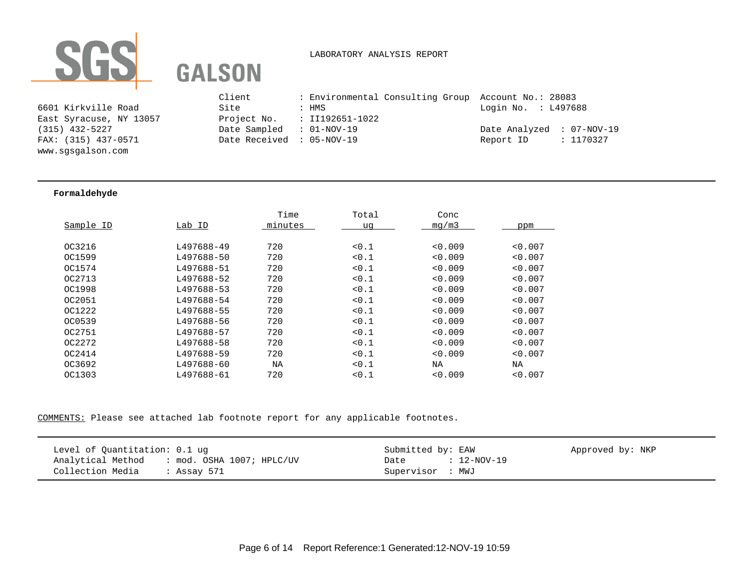

## LABORATORY ANALYSIS REPORT

6601 Kirkville Road East Syracuse, NY 13057 www.sgsgalson.com

|                         | Client                    | : Environmental Consulting Group Account No.: 28083 |                           |
|-------------------------|---------------------------|-----------------------------------------------------|---------------------------|
| 6601 Kirkville Road     | Site                      | : HMS                                               | Login No. : L497688       |
| East Syracuse, NY 13057 |                           | Project No. $\; : \; II192651-1022$                 |                           |
| (315) 432-5227          | Date Sampled : 01-NOV-19  |                                                     | Date Analyzed : 07-NOV-19 |
| FAX: (315) 437-0571     | Date Received : 05-NOV-19 |                                                     | : 1170327<br>Report ID    |
|                         |                           |                                                     |                           |

#### **Formaldehyde**

|           |            | Time    | Total | Conc    |         |
|-----------|------------|---------|-------|---------|---------|
| Sample ID | Lab ID     | minutes | uq    | mq/m3   | ppm     |
|           |            |         |       |         |         |
| OC3216    | L497688-49 | 720     | 0.1   | < 0.009 | < 0.007 |
| OC1599    | L497688-50 | 720     | < 0.1 | < 0.009 | < 0.007 |
| OC1574    | L497688-51 | 720     | < 0.1 | < 0.009 | < 0.007 |
| OC2713    | L497688-52 | 720     | 0.1   | < 0.009 | < 0.007 |
| OC1998    | L497688-53 | 720     | < 0.1 | < 0.009 | < 0.007 |
| OC2051    | L497688-54 | 720     | < 0.1 | < 0.009 | < 0.007 |
| OC1222    | L497688-55 | 720     | 0.1   | < 0.009 | < 0.007 |
| OC0539    | L497688-56 | 720     | < 0.1 | < 0.009 | < 0.007 |
| OC2751    | L497688-57 | 720     | < 0.1 | < 0.009 | < 0.007 |
| OC2272    | L497688-58 | 720     | < 0.1 | < 0.009 | < 0.007 |
| OC2414    | L497688-59 | 720     | < 0.1 | < 0.009 | < 0.007 |
| OC3692    | L497688-60 | NA      | < 0.1 | NA      | NA      |
| OC1303    | L497688-61 | 720     | 0.1   | < 0.009 | < 0.007 |
|           |            |         |       |         |         |

| Level of Quantitation: 0.1 ug               | Submitted by: EAW   | Approved by: NKP |
|---------------------------------------------|---------------------|------------------|
| Analytical Method : mod. OSHA 1007; HPLC/UV | : 12-NOV-19<br>Date |                  |
| Collection Media<br>: Assay 571             | Supervisor : MWJ    |                  |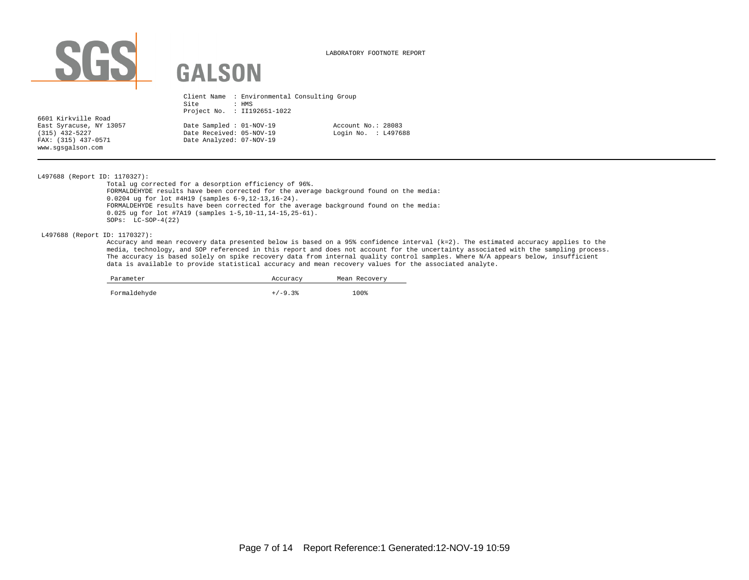

LABORATORY FOOTNOTE REPORT

|                         | Site                     | Client Name : Environmental Consulting Group<br>: HMS<br>Project No. : II192651-1022 |                     |
|-------------------------|--------------------------|--------------------------------------------------------------------------------------|---------------------|
| 6601 Kirkville Road     |                          |                                                                                      |                     |
| East Syracuse, NY 13057 | Date Sampled : 01-NOV-19 |                                                                                      | Account No.: 28083  |
| $(315)$ 432-5227        | Date Received: 05-NOV-19 |                                                                                      | Login No. : L497688 |
| FAX: (315) 437-0571     | Date Analyzed: 07-NOV-19 |                                                                                      |                     |
| www.sqsqalson.com       |                          |                                                                                      |                     |

L497688 (Report ID: 1170327):

Total ug corrected for a desorption efficiency of 96%. FORMALDEHYDE results have been corrected for the average background found on the media: 0.0204 ug for lot #4H19 (samples 6-9,12-13,16-24). FORMALDEHYDE results have been corrected for the average background found on the media: 0.025 ug for lot #7A19 (samples 1-5,10-11,14-15,25-61). SOPs: LC-SOP-4(22)

L497688 (Report ID: 1170327):

Accuracy and mean recovery data presented below is based on a 95% confidence interval (k=2). The estimated accuracy applies to the media, technology, and SOP referenced in this report and does not account for the uncertainty associated with the sampling process. The accuracy is based solely on spike recovery data from internal quality control samples. Where N/A appears below, insufficient data is available to provide statistical accuracy and mean recovery values for the associated analyte.

| Parameter    | Accuracy  | Mean Recovery |  |  |  |
|--------------|-----------|---------------|--|--|--|
| Formaldehyde | $+/-9.3%$ | 100%          |  |  |  |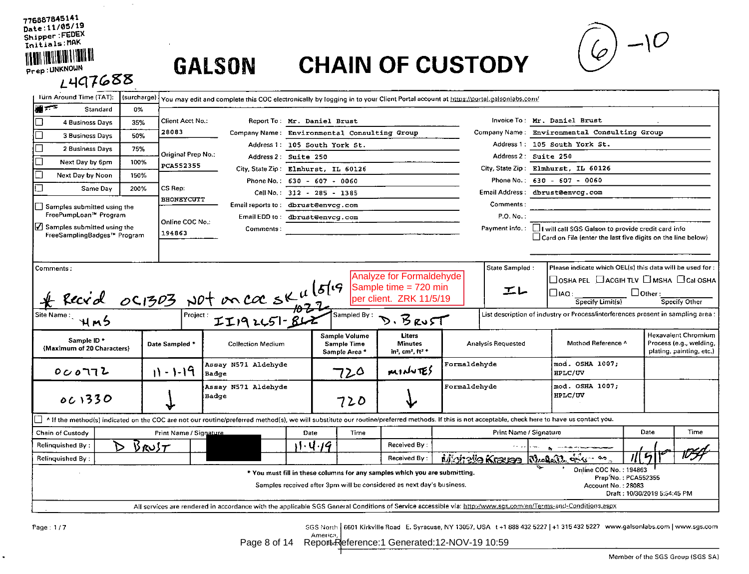# $\left(\begin{matrix} 1 & -10 \\ 0 & -10 \end{matrix}\right)$

| <b>L497688</b>                                                        |                   |                        |                                                                                                                                                                                                  |         |                                                      |                                                                                                                                                     |              |                           |                                   |                                                                                                                                            |    |                              |                                                                                   |  |
|-----------------------------------------------------------------------|-------------------|------------------------|--------------------------------------------------------------------------------------------------------------------------------------------------------------------------------------------------|---------|------------------------------------------------------|-----------------------------------------------------------------------------------------------------------------------------------------------------|--------------|---------------------------|-----------------------------------|--------------------------------------------------------------------------------------------------------------------------------------------|----|------------------------------|-----------------------------------------------------------------------------------|--|
| <b>Türn Around Time (TAT):</b><br><b>第五章</b>                          | (surcharge)<br>0% |                        | You may edit and complete this COC electronically by logging in to your Client Portal account at https://portal.galsonlabs.com/                                                                  |         |                                                      |                                                                                                                                                     |              |                           |                                   |                                                                                                                                            |    |                              |                                                                                   |  |
| Standard                                                              |                   | Client Acct No.:       | Report To. Mr. Daniel Brust                                                                                                                                                                      |         |                                                      |                                                                                                                                                     |              |                           |                                   | Invoice To: Mr. Daniel Brust                                                                                                               |    |                              |                                                                                   |  |
| 4 Business Days                                                       | 35%               | 28083                  | Company Name: Environmental Consulting Group                                                                                                                                                     |         |                                                      |                                                                                                                                                     |              |                           |                                   | Company Name: Environmental Consulting Group                                                                                               |    |                              |                                                                                   |  |
| П<br><b>3 Business Days</b>                                           | 50%               |                        |                                                                                                                                                                                                  |         | Address 1: 105 South York St.                        |                                                                                                                                                     |              | Address 1:                |                                   | 105 South York St.                                                                                                                         |    |                              |                                                                                   |  |
| $\Box$<br>2 Business Days                                             | 75%               | Original Prep No.:     | Address 2 Suite 250                                                                                                                                                                              |         |                                                      |                                                                                                                                                     |              | Address 2: Suite 250      |                                   |                                                                                                                                            |    |                              |                                                                                   |  |
| $\Box$<br>Next Day by 6pm                                             | 100%              | PCA552355              | City State Zip Elmhurst, IL 60126                                                                                                                                                                |         |                                                      |                                                                                                                                                     |              |                           |                                   | City, State Zip: Elmhurst, IL 60126                                                                                                        |    |                              |                                                                                   |  |
| $\Box$<br>Next Day by Noon                                            | 150%              |                        | Phone No.: 630 - 607 - 0060                                                                                                                                                                      |         |                                                      |                                                                                                                                                     |              | Phone No.:                | $630 - 607 - 0060$                |                                                                                                                                            |    |                              |                                                                                   |  |
| $\mathcal{L}$<br>Same Day                                             | 200%              | CS Rep:                |                                                                                                                                                                                                  |         | Cell No.: 312 - 285 - 1385                           |                                                                                                                                                     |              | <b>Email Address:</b>     | dbrust@envcg.com                  |                                                                                                                                            |    |                              |                                                                                   |  |
| Samples submitted using the                                           |                   | <b>BHONEYCUTT</b>      | Email reports to: dbrust@envcg.com                                                                                                                                                               |         |                                                      |                                                                                                                                                     |              | Comments:                 |                                   |                                                                                                                                            |    |                              |                                                                                   |  |
| FreePumpLoan™ Program                                                 |                   | Online COC No.:        | Email EDD to: dbrust@envcg.com                                                                                                                                                                   |         |                                                      |                                                                                                                                                     |              | P.O. No.:                 |                                   |                                                                                                                                            |    |                              |                                                                                   |  |
| $\sqrt{ }$ Samples submitted using the<br>FreeSamplingBadges™ Program |                   | 194863                 | Comments:                                                                                                                                                                                        |         |                                                      |                                                                                                                                                     |              |                           |                                   | Payment info.: Luis will call SGS Galson to provide credit card info<br>$\Box$ Card on File (enter the last five digits on the line below) |    |                              |                                                                                   |  |
| Comments :                                                            |                   |                        |                                                                                                                                                                                                  |         |                                                      | <b>Analyze for Formaldehyde</b>                                                                                                                     |              | State Sampled:            |                                   | Please indicate which OEL(s) this data will be used for ;                                                                                  |    |                              |                                                                                   |  |
|                                                                       |                   |                        |                                                                                                                                                                                                  |         |                                                      | Sample time = 720 min                                                                                                                               |              | エレ                        |                                   | $\Box$ osha pel $\Box$ acgih tlv $\Box$ msha $\Box$ Cai osha<br>$\square$ iaq:                                                             |    | $\Box$ Other:                |                                                                                   |  |
|                                                                       |                   |                        |                                                                                                                                                                                                  |         |                                                      | per client. ZRK 11/5/19                                                                                                                             |              |                           |                                   | Specify Limit(s)                                                                                                                           |    |                              | Specify Other                                                                     |  |
| Site Name :                                                           |                   |                        | Recvid 0C1303 NOT on coc sk u 15/19                                                                                                                                                              |         | Sampled By:                                          | D. BRUST                                                                                                                                            |              |                           |                                   | List description of industry or Process/interferences present in sampling area :                                                           |    |                              |                                                                                   |  |
| Sample ID*<br>(Maximum of 20 Characters)                              |                   | Date Sampled *         | <b>Collection Medium</b>                                                                                                                                                                         |         | Sample Volume<br><b>Sample Time</b><br>Sample Area * | <b>Liters</b><br><b>Minutes</b><br>in <sup>2</sup> , cm <sup>2</sup> , ft <sup>2</sup> *                                                            |              | <b>Analysis Requested</b> |                                   | Method Reference ^                                                                                                                         |    |                              | <b>Hexavalent Chromium</b><br>Process (e.g., welding,<br>plating, painting, etc.) |  |
| 000772                                                                |                   | $11 - 1 - 19$          | Assay N571 Aldehyde<br>Badge                                                                                                                                                                     | 724     |                                                      | MINVIES                                                                                                                                             | Formaldehyde |                           | mod. OSHA 1007;<br><b>HPLC/UV</b> |                                                                                                                                            |    |                              |                                                                                   |  |
| 061330                                                                |                   |                        | Assay N571 Aldehyde<br>Badge                                                                                                                                                                     |         | 720                                                  |                                                                                                                                                     |              | Formaldehyde              |                                   | mod. OSHA 1007;<br>HPLC/UV                                                                                                                 |    |                              |                                                                                   |  |
|                                                                       |                   |                        | A If the method(s) indicated on the COC are not our routine/preferred method(s), we will substitute our routine/preferred methods. If this is not acceptable, check here to have us contact you. |         |                                                      |                                                                                                                                                     |              |                           |                                   |                                                                                                                                            |    |                              |                                                                                   |  |
| Chain of Custody                                                      |                   | Print Name / Signature |                                                                                                                                                                                                  | Date    | Time                                                 |                                                                                                                                                     |              |                           | Print Name / Signature            |                                                                                                                                            |    | Date                         | Time                                                                              |  |
| <b>Relinquished By:</b><br>D                                          | $B_{RQST}$        |                        |                                                                                                                                                                                                  | 11.4.19 |                                                      | Received By:                                                                                                                                        |              |                           |                                   |                                                                                                                                            |    |                              |                                                                                   |  |
| <b>Relinquished By:</b>                                               |                   |                        |                                                                                                                                                                                                  |         |                                                      | Received By:                                                                                                                                        |              | Monelle Krause            |                                   | جه .                                                                                                                                       | 川ら |                              |                                                                                   |  |
|                                                                       |                   |                        |                                                                                                                                                                                                  |         |                                                      | * You must fill in these columns for any samples which you are submitting.<br>Samples received after 3pm will be considered as next day's business. |              |                           |                                   | Online COC No.: 194863<br>Prep No.: PCA552355<br><b>Account No.: 28083</b>                                                                 |    |                              |                                                                                   |  |
|                                                                       |                   |                        |                                                                                                                                                                                                  |         |                                                      |                                                                                                                                                     |              |                           |                                   |                                                                                                                                            |    | Draft: 10/30/2019 5:54:45 PM |                                                                                   |  |
|                                                                       |                   |                        | All services are rendered in accordance with the applicable SGS General Conditions of Service accessible via: http://www.sgs.com/en/Terms-and-Conditions.aspx                                    |         |                                                      |                                                                                                                                                     |              |                           |                                   |                                                                                                                                            |    |                              |                                                                                   |  |
|                                                                       |                   |                        |                                                                                                                                                                                                  |         |                                                      |                                                                                                                                                     |              |                           |                                   |                                                                                                                                            |    |                              |                                                                                   |  |
| Page: 1/7                                                             |                   |                        | Page 8 of 14                                                                                                                                                                                     |         | America,                                             | Report Reference: 1 Generated: 12-NOV-19 10:59                                                                                                      |              |                           |                                   | SGS North   6601 Kirkville Road E. Syracuse, NY 13057, USA t+1 888 432 5227   +1 315 432 5227 www.galsonlabs.com   www.sgs.com             |    |                              |                                                                                   |  |

**GALSON CHAIN OF CUSTODY** 

776887845141 Date: 11/05/19

Shipper FEDEX Initials: MAK **MAN MANIN** 

Prep: UNKNOWN

 $\ddot{\phantom{0}}$